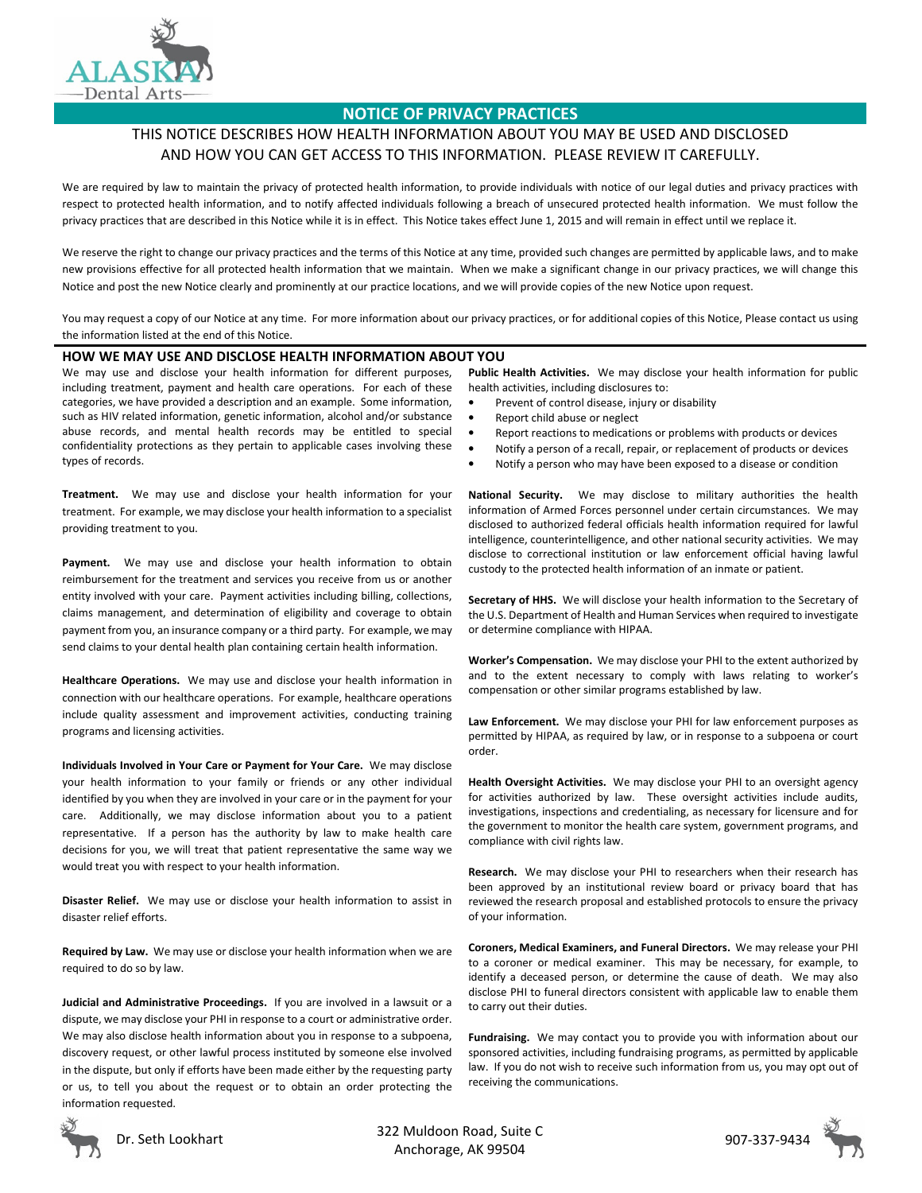

## **NOTICE OF PRIVACY PRACTICES**

# THIS NOTICE DESCRIBES HOW HEALTH INFORMATION ABOUT YOU MAY BE USED AND DISCLOSED AND HOW YOU CAN GET ACCESS TO THIS INFORMATION. PLEASE REVIEW IT CAREFULLY.

We are required by law to maintain the privacy of protected health information, to provide individuals with notice of our legal duties and privacy practices with respect to protected health information, and to notify affected individuals following a breach of unsecured protected health information. We must follow the privacy practices that are described in this Notice while it is in effect. This Notice takes effect June 1, 2015 and will remain in effect until we replace it.

We reserve the right to change our privacy practices and the terms of this Notice at any time, provided such changes are permitted by applicable laws, and to make new provisions effective for all protected health information that we maintain. When we make a significant change in our privacy practices, we will change this Notice and post the new Notice clearly and prominently at our practice locations, and we will provide copies of the new Notice upon request.

You may request a copy of our Notice at any time. For more information about our privacy practices, or for additional copies of this Notice, Please contact us using the information listed at the end of this Notice.

#### **HOW WE MAY USE AND DISCLOSE HEALTH INFORMATION ABOUT YOU**

We may use and disclose your health information for different purposes, including treatment, payment and health care operations. For each of these categories, we have provided a description and an example. Some information, such as HIV related information, genetic information, alcohol and/or substance abuse records, and mental health records may be entitled to special confidentiality protections as they pertain to applicable cases involving these types of records.

**Treatment.** We may use and disclose your health information for your treatment. For example, we may disclose your health information to a specialist providing treatment to you.

Payment. We may use and disclose your health information to obtain reimbursement for the treatment and services you receive from us or another entity involved with your care. Payment activities including billing, collections, claims management, and determination of eligibility and coverage to obtain payment from you, an insurance company or a third party. For example, we may send claims to your dental health plan containing certain health information.

**Healthcare Operations.** We may use and disclose your health information in connection with our healthcare operations. For example, healthcare operations include quality assessment and improvement activities, conducting training programs and licensing activities.

**Individuals Involved in Your Care or Payment for Your Care.** We may disclose your health information to your family or friends or any other individual identified by you when they are involved in your care or in the payment for your care. Additionally, we may disclose information about you to a patient representative. If a person has the authority by law to make health care decisions for you, we will treat that patient representative the same way we would treat you with respect to your health information.

**Disaster Relief.** We may use or disclose your health information to assist in disaster relief efforts.

**Required by Law.** We may use or disclose your health information when we are required to do so by law.

**Judicial and Administrative Proceedings.** If you are involved in a lawsuit or a dispute, we may disclose your PHI in response to a court or administrative order. We may also disclose health information about you in response to a subpoena, discovery request, or other lawful process instituted by someone else involved in the dispute, but only if efforts have been made either by the requesting party or us, to tell you about the request or to obtain an order protecting the information requested.

**Public Health Activities.** We may disclose your health information for public health activities, including disclosures to:

- Prevent of control disease, injury or disability
- Report child abuse or neglect
- Report reactions to medications or problems with products or devices
- Notify a person of a recall, repair, or replacement of products or devices
- Notify a person who may have been exposed to a disease or condition

**National Security.** We may disclose to military authorities the health information of Armed Forces personnel under certain circumstances. We may disclosed to authorized federal officials health information required for lawful intelligence, counterintelligence, and other national security activities. We may disclose to correctional institution or law enforcement official having lawful custody to the protected health information of an inmate or patient.

**Secretary of HHS.** We will disclose your health information to the Secretary of the U.S. Department of Health and Human Services when required to investigate or determine compliance with HIPAA.

**Worker's Compensation.** We may disclose your PHI to the extent authorized by and to the extent necessary to comply with laws relating to worker's compensation or other similar programs established by law.

**Law Enforcement.** We may disclose your PHI for law enforcement purposes as permitted by HIPAA, as required by law, or in response to a subpoena or court order.

**Health Oversight Activities.** We may disclose your PHI to an oversight agency for activities authorized by law. These oversight activities include audits, investigations, inspections and credentialing, as necessary for licensure and for the government to monitor the health care system, government programs, and compliance with civil rights law.

**Research.** We may disclose your PHI to researchers when their research has been approved by an institutional review board or privacy board that has reviewed the research proposal and established protocols to ensure the privacy of your information.

**Coroners, Medical Examiners, and Funeral Directors.** We may release your PHI to a coroner or medical examiner. This may be necessary, for example, to identify a deceased person, or determine the cause of death. We may also disclose PHI to funeral directors consistent with applicable law to enable them to carry out their duties.

**Fundraising.** We may contact you to provide you with information about our sponsored activities, including fundraising programs, as permitted by applicable law. If you do not wish to receive such information from us, you may opt out of receiving the communications.



Dr. Seth Lookhart 322 Muldoon Road, Suite C 2 Muldoon Road, Suite C<br>Anchorage, AK 99504 907-337-9434